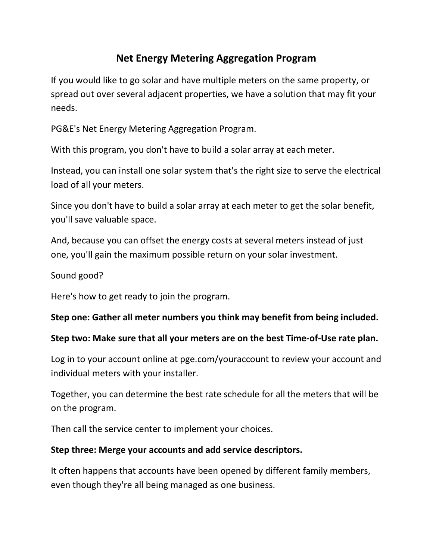# **Net Energy Metering Aggregation Program**

If you would like to go solar and have multiple meters on the same property, or spread out over several adjacent properties, we have a solution that may fit your needs.

PG&E's Net Energy Metering Aggregation Program.

With this program, you don't have to build a solar array at each meter.

Instead, you can install one solar system that's the right size to serve the electrical load of all your meters.

Since you don't have to build a solar array at each meter to get the solar benefit, you'll save valuable space.

And, because you can offset the energy costs at several meters instead of just one, you'll gain the maximum possible return on your solar investment.

### Sound good?

Here's how to get ready to join the program.

#### **Step one: Gather all meter numbers you think may benefit from being included.**

#### **Step two: Make sure that all your meters are on the best Time-of-Use rate plan.**

Log in to your account online at pge.com/youraccount to review your account and individual meters with your installer.

Together, you can determine the best rate schedule for all the meters that will be on the program.

Then call the service center to implement your choices.

#### **Step three: Merge your accounts and add service descriptors.**

It often happens that accounts have been opened by different family members, even though they're all being managed as one business.